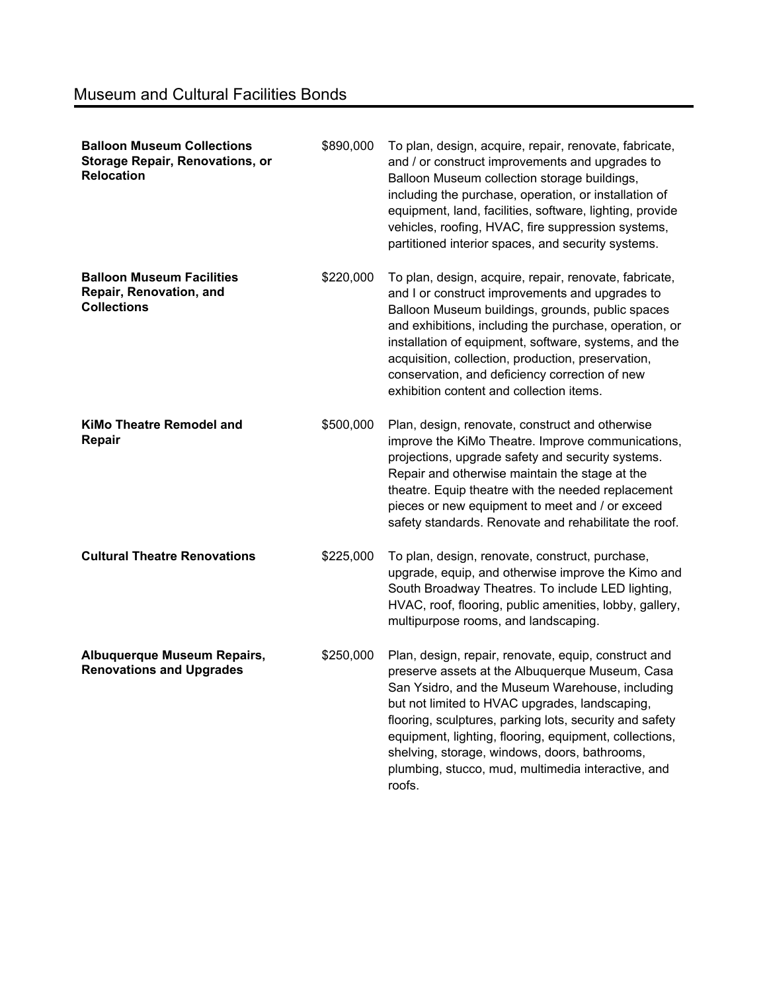| <b>Balloon Museum Collections</b><br><b>Storage Repair, Renovations, or</b><br><b>Relocation</b> | \$890,000 | To plan, design, acquire, repair, renovate, fabricate,<br>and / or construct improvements and upgrades to<br>Balloon Museum collection storage buildings,<br>including the purchase, operation, or installation of<br>equipment, land, facilities, software, lighting, provide<br>vehicles, roofing, HVAC, fire suppression systems,<br>partitioned interior spaces, and security systems.                                                         |
|--------------------------------------------------------------------------------------------------|-----------|----------------------------------------------------------------------------------------------------------------------------------------------------------------------------------------------------------------------------------------------------------------------------------------------------------------------------------------------------------------------------------------------------------------------------------------------------|
| <b>Balloon Museum Facilities</b><br>Repair, Renovation, and<br><b>Collections</b>                | \$220,000 | To plan, design, acquire, repair, renovate, fabricate,<br>and I or construct improvements and upgrades to<br>Balloon Museum buildings, grounds, public spaces<br>and exhibitions, including the purchase, operation, or<br>installation of equipment, software, systems, and the<br>acquisition, collection, production, preservation,<br>conservation, and deficiency correction of new<br>exhibition content and collection items.               |
| <b>KiMo Theatre Remodel and</b><br>Repair                                                        | \$500,000 | Plan, design, renovate, construct and otherwise<br>improve the KiMo Theatre. Improve communications,<br>projections, upgrade safety and security systems.<br>Repair and otherwise maintain the stage at the<br>theatre. Equip theatre with the needed replacement<br>pieces or new equipment to meet and / or exceed<br>safety standards. Renovate and rehabilitate the roof.                                                                      |
| <b>Cultural Theatre Renovations</b>                                                              | \$225,000 | To plan, design, renovate, construct, purchase,<br>upgrade, equip, and otherwise improve the Kimo and<br>South Broadway Theatres. To include LED lighting,<br>HVAC, roof, flooring, public amenities, lobby, gallery,<br>multipurpose rooms, and landscaping.                                                                                                                                                                                      |
| Albuquerque Museum Repairs,<br><b>Renovations and Upgrades</b>                                   | \$250,000 | Plan, design, repair, renovate, equip, construct and<br>preserve assets at the Albuquerque Museum, Casa<br>San Ysidro, and the Museum Warehouse, including<br>but not limited to HVAC upgrades, landscaping,<br>flooring, sculptures, parking lots, security and safety<br>equipment, lighting, flooring, equipment, collections,<br>shelving, storage, windows, doors, bathrooms,<br>plumbing, stucco, mud, multimedia interactive, and<br>roofs. |